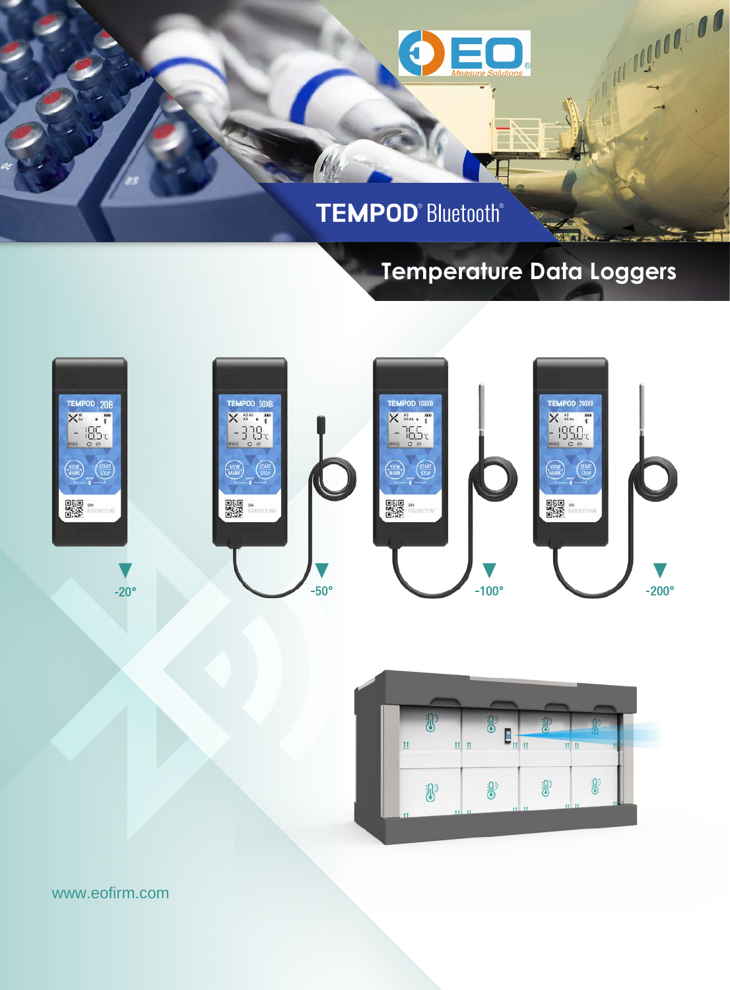

### **TEMPOD**<sup>®</sup> Bluetooth<sup>®</sup>

### **Temperature Data Loggers**

**WEATH** 

A MARIAGO COO





www.eofirm.com

DS-151206 Rev. D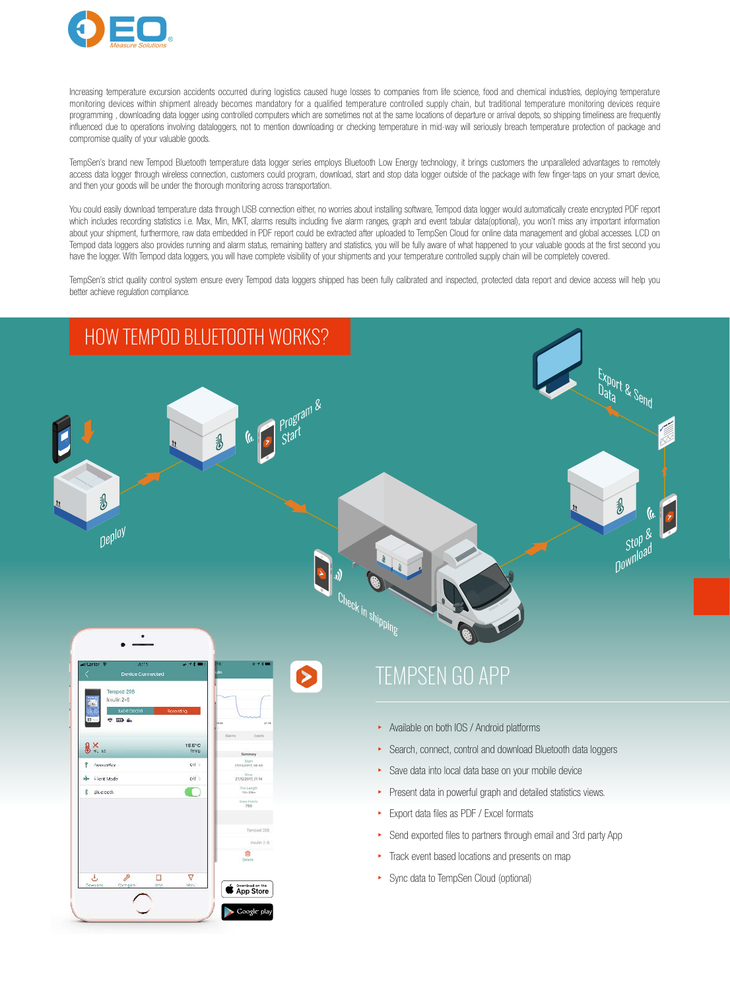

Increasing temperature excursion accidents occurred during logistics caused huge losses to companies from life science, food and chemical industries, deploying temperature monitoring devices within shipment already becomes mandatory for a qualified temperature controlled supply chain, but traditional temperature monitoring devices require programming, downloading data logger using controlled computers which are sometimes not at the same locations of departure or arrival depots, so shipping timeliness are frequently influenced due to operations involving dataloggers, not to mention downloading or checking temperature in mid-way will seriously breach temperature protection of package and compromise quality of your valuable goods.

TempSen's brand new Tempod Bluetooth temperature data logger series employs Bluetooth Low Energy technology, it brings customers the unparalleled advantages to remotely access data logger through wireless connection, customers could program, download, start and stop data logger outside of the package with few finger-taps on your smart device. and then your goods will be under the thorough monitoring across transportation.

You could easily download temperature data through USB connection either, no worries about installing software, Tempod data logger would automatically create encrypted PDF report which includes recording statistics i.e. Max, Min, MKT, alarms results including five alarm ranges, graph and event tabular data(optional), you won't miss any important information about your shipment, furthermore, raw data embedded in PDF report could be extracted after uploaded to TempSen Cloud for online data management and global accesses. LCD on Tempod data loggers also provides running and alarm status, remaining battery and statistics, you will be fully aware of what happened to your valuable goods at the first second you have the logger. With Tempod data loggers, you will have complete visibility of your shipments and your temperature controlled supply chain will be completely covered.

TempSen's strict quality control system ensure every Tempod data loggers shipped has been fully calibrated and inspected, protected data report and device access will help you better achieve regulation compliance.

# HOW TEMPOD BLUETOOTH WORKS?  $\frac{1}{\sqrt{\frac{1}{\sqrt{10}}}}$  is the set of the set of the set of the set of the set of the set of the set of the set of the set of the set of the set of the set of the set of the set of the set of the set of the set of the set o **(i.** Program &  $\partial \mathcal{D}$ 汎  $Stop \&$ Deploy Check in shipping  $\bullet$



### TEMPSEN GO APP

- ▸ Available on both IOS / Android platforms
- ▸ Search, connect, control and download Bluetooth data loggers
- ▸ Save data into local data base on your mobile device
- Present data in powerful graph and detailed statistics views.
- ▸ Export data files as PDF / Excel formats
- Send exported files to partners through email and 3rd party App
- ▸ Track event based locations and presents on map
- ▸ Sync data to TempSen Cloud (optional)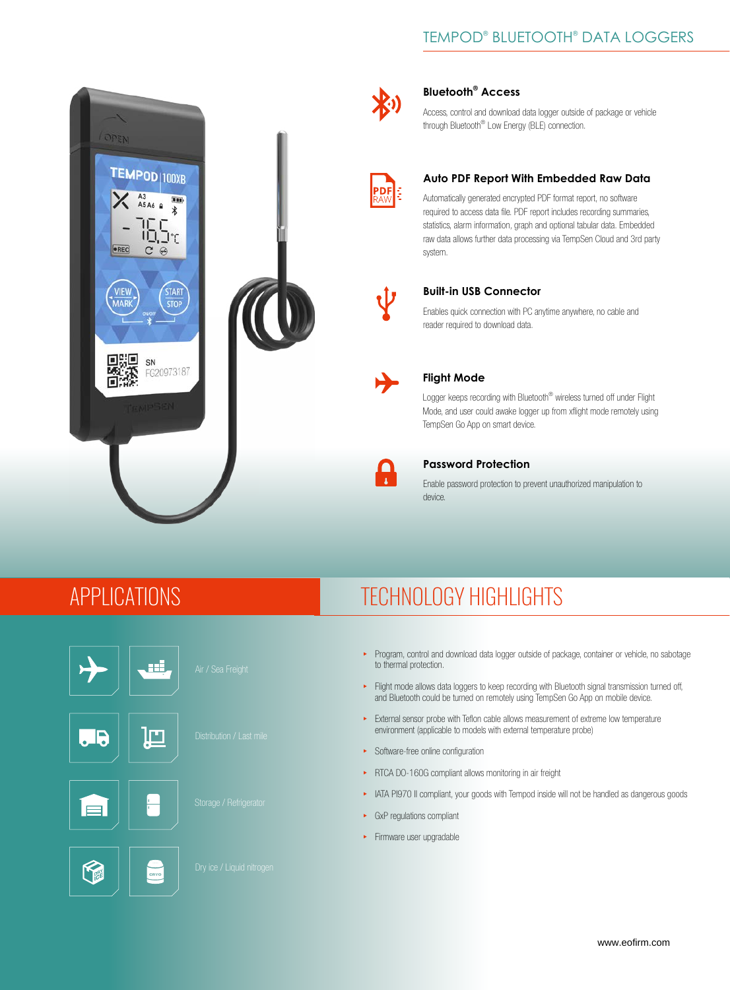### TEMPOD® BLUETOOTH® DATA LOGGERS





#### **Bluetooth® Access**

Access, control and download data logger outside of package or vehicle through Bluetooth® Low Energy (BLE) connection.



#### **Auto PDF Report With Embedded Raw Data**

Automatically generated encrypted PDF format report, no software required to access data file. PDF report includes recording summaries, statistics, alarm information, graph and optional tabular data. Embedded raw data allows further data processing via TempSen Cloud and 3rd party system.



#### **Built-in USB Connector**

Enables quick connection with PC anytime anywhere, no cable and reader required to download data.



#### **Flight Mode**

Logger keeps recording with Bluetooth® wireless turned off under Flight Mode, and user could awake logger up from xflight mode remotely using TempSen Go App on smart device.



#### **Password Protection**

Enable password protection to prevent unauthorized manipulation to device.

### APPLICATIONS





Œ F.

## TECHNOLOGY HIGHLIGHTS

- ▸ Program, control and download data logger outside of package, container or vehicle, no sabotage to thermal protection.
- ▸ Flight mode allows data loggers to keep recording with Bluetooth signal transmission turned off, and Bluetooth could be turned on remotely using TempSen Go App on mobile device.
- ▸ External sensor probe with Teflon cable allows measurement of extreme low temperature environment (applicable to models with external temperature probe)
- ▸ Software-free online configuration
- ▸ RTCA DO-160G compliant allows monitoring in air freight
- ▸ IATA PI970 II compliant, your goods with Tempod inside will not be handled as dangerous goods
- ▸ GxP regulations compliant
- ▸ Firmware user upgradable





www.eofirm.com